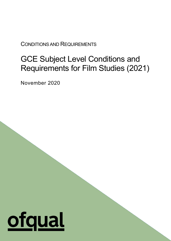CONDITIONS AND REQUIREMENTS

# GCE Subject Level Conditions and Requirements for Film Studies (2021)

1

November 2020

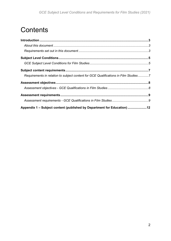# **Contents**

| Requirements in relation to subject content for GCE Qualifications in Film Studies7 |  |
|-------------------------------------------------------------------------------------|--|
|                                                                                     |  |
|                                                                                     |  |
|                                                                                     |  |
|                                                                                     |  |
| Appendix 1 - Subject content (published by Department for Education) 12             |  |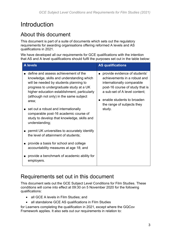# <span id="page-2-0"></span>**Introduction**

# <span id="page-2-1"></span>About this document

This document is part of a suite of documents which sets out the regulatory requirements for awarding organisations offering reformed A levels and AS qualifications in 2021.

We have developed all our requirements for GCE qualifications with the intention that AS and A level qualifications should fulfil the purposes set out in the table below:

| <b>A</b> levels                                                                                                                                                                                                                                                                                                                                             | <b>AS qualifications</b>                                                                                                                                                                                                              |
|-------------------------------------------------------------------------------------------------------------------------------------------------------------------------------------------------------------------------------------------------------------------------------------------------------------------------------------------------------------|---------------------------------------------------------------------------------------------------------------------------------------------------------------------------------------------------------------------------------------|
| define and assess achievement of the<br>knowledge, skills and understanding which<br>will be needed by students planning to<br>progress to undergraduate study at a UK<br>higher education establishment, particularly<br>(although not only) in the same subject<br>area;<br>set out a robust and internationally<br>comparable post-16 academic course of | provide evidence of students'<br>achievements in a robust and<br>internationally comparable<br>post-16 course of study that is<br>a sub-set of A level content;<br>enable students to broaden<br>the range of subjects they<br>study. |
| study to develop that knowledge, skills and<br>understanding;                                                                                                                                                                                                                                                                                               |                                                                                                                                                                                                                                       |
| permit UK universities to accurately identify<br>the level of attainment of students;                                                                                                                                                                                                                                                                       |                                                                                                                                                                                                                                       |
| provide a basis for school and college<br>accountability measures at age 18; and                                                                                                                                                                                                                                                                            |                                                                                                                                                                                                                                       |
| provide a benchmark of academic ability for<br>employers.                                                                                                                                                                                                                                                                                                   |                                                                                                                                                                                                                                       |

# <span id="page-2-2"></span>Requirements set out in this document

This document sets out the GCE Subject Level Conditions for Film Studies. These conditions will come into effect at 09:30 on 5 November 2020 for the following qualifications:

- all GCE A levels in Film Studies; and
- all standalone GCE AS qualifications in Film Studies

for Learners completing the qualification in 2021, except where the GQCov Framework applies. It also sets out our requirements in relation to: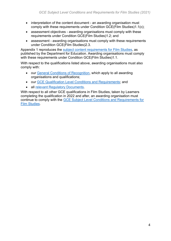- interpretation of the content document an awarding organisation must comply with these requirements under Condition GCE(Film Studies)1.1(c);
- assessment objectives awarding organisations must comply with these requirements under Condition GCE(Film Studies)1.2; and
- assessment awarding organisations must comply with these requirements under Condition GCE(Film Studies)2.3.

Appendix 1 reproduces the [subject content requirements for Film Studies,](https://www.gov.uk/government/publications/gce-as-and-a-level-film-studies) as published by the Department for Education. Awarding organisations must comply with these requirements under Condition GCE(Film Studies)1.1.

With respect to the qualifications listed above, awarding organisations must also comply with:

- our [General Conditions of Recognition,](https://www.gov.uk/government/publications/general-conditions-of-recognition) which apply to all awarding organisations and qualifications;
- our [GCE Qualification Level Conditions and Requirements;](https://www.gov.uk/government/publications/gce-qualification-level-conditions-and-requirements) and
- all [relevant Regulatory Documents.](https://www.gov.uk/guidance/regulatory-document-list)

With respect to all other GCE qualifications in Film Studies, taken by Learners completing the qualification in 2022 and after, an awarding organisation must continue to comply with the [GCE Subject Level Conditions and Requirements for](https://www.gov.uk/government/publications/gce-subject-level-conditions-and-requirements-for-film-studies)  [Film Studies.](https://www.gov.uk/government/publications/gce-subject-level-conditions-and-requirements-for-film-studies)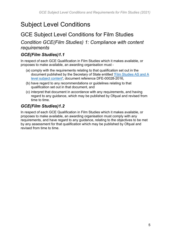# <span id="page-4-0"></span>Subject Level Conditions

# <span id="page-4-1"></span>GCE Subject Level Conditions for Film Studies

*Condition GCE(Film Studies) 1: Compliance with content requirements*

#### *GCE(Film Studies)1.1*

In respect of each GCE Qualification in Film Studies which it makes available, or proposes to make available, an awarding organisation must -

- (a) comply with the requirements relating to that qualification set out in the document published by the Secretary of State entitled ['Film Studies AS and A](https://www.gov.uk/government/publications/gce-as-and-a-level-film-studies)  [level subject content'](https://www.gov.uk/government/publications/gce-as-and-a-level-film-studies), document reference DFE-00028-2016,
- (b) have regard to any recommendations or guidelines relating to that qualification set out in that document, and
- (c) interpret that document in accordance with any requirements, and having regard to any guidance, which may be published by Ofqual and revised from time to time.

## *GCE(Film Studies)1.2*

In respect of each GCE Qualification in Film Studies which it makes available, or proposes to make available, an awarding organisation must comply with any requirements, and have regard to any guidance, relating to the objectives to be met by any assessment for that qualification which may be published by Ofqual and revised from time to time.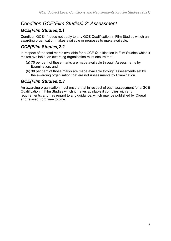## *Condition GCE(Film Studies) 2: Assessment*

## *GCE(Film Studies)2.1*

Condition GCE4.1 does not apply to any GCE Qualification in Film Studies which an awarding organisation makes available or proposes to make available.

#### *GCE(Film Studies)2.2*

In respect of the total marks available for a GCE Qualification in Film Studies which it makes available, an awarding organisation must ensure that -

- (a) 70 per cent of those marks are made available through Assessments by Examination, and
- (b) 30 per cent of those marks are made available through assessments set by the awarding organisation that are not Assessments by Examination.

#### *GCE(Film Studies)2.3*

An awarding organisation must ensure that in respect of each assessment for a GCE Qualification in Film Studies which it makes available it complies with any requirements, and has regard to any guidance, which may be published by Ofqual and revised from time to time.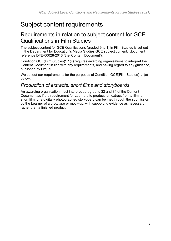# <span id="page-6-0"></span>Subject content requirements

## <span id="page-6-1"></span>Requirements in relation to subject content for GCE Qualifications in Film Studies

The subject content for GCE Qualifications (graded 9 to 1) in Film Studies is set out in the Department for Education's Media Studies GCE subject content, document reference DFE-00028-2016 (the 'Content Document').

Condition GCE(Film Studies)1.1(c) requires awarding organisations to interpret the Content Document in line with any requirements, and having regard to any guidance, published by Ofqual.

We set out our requirements for the purposes of Condition GCE(Film Studies)1.1(c) below.

## *Production of extracts, short films and storyboards*

An awarding organisation must interpret paragraphs 32 and 34 of the Content Document as if the requirement for Learners to produce an extract from a film, a short film, or a digitally photographed storyboard can be met through the submission by the Learner of a prototype or mock-up, with supporting evidence as necessary, rather than a finished product.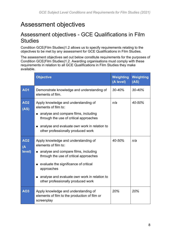# <span id="page-7-0"></span>Assessment objectives

# <span id="page-7-1"></span>Assessment objectives - GCE Qualifications in Film **Studies**

Condition GCE(Film Studies)1.2 allows us to specify requirements relating to the objectives to be met by any assessment for GCE Qualifications in Film Studies.

The assessment objectives set out below constitute requirements for the purposes of Condition GCE(Film Studies)1.2. Awarding organisations must comply with these requirements in relation to all GCE Qualifications in Film Studies they make available.

|                                        | <b>Objective</b>                                                                                                                                                                                                                                                                                | Weighting<br>(A level) | Weighting<br>(AS) |
|----------------------------------------|-------------------------------------------------------------------------------------------------------------------------------------------------------------------------------------------------------------------------------------------------------------------------------------------------|------------------------|-------------------|
| <b>AO1</b>                             | Demonstrate knowledge and understanding of<br>elements of film.                                                                                                                                                                                                                                 | 30-40%                 | 30-40%            |
| <b>AO2</b><br>(AS)                     | Apply knowledge and understanding of<br>elements of film to:<br>analyse and compare films, including<br>п<br>through the use of critical approaches<br>analyse and evaluate own work in relation to<br>other professionally produced work                                                       | n/a                    | 40-50%            |
| <b>AO2</b><br>$\overline{A}$<br>level) | Apply knowledge and understanding of<br>elements of film to:<br>• analyse and compare films, including<br>through the use of critical approaches<br>• evaluate the significance of critical<br>approaches<br>analyse and evaluate own work in relation to<br>other professionally produced work | 40-50%                 | n/a               |
| <b>AO3</b>                             | Apply knowledge and understanding of<br>elements of film to the production of film or<br>screenplay                                                                                                                                                                                             | 20%                    | 20%               |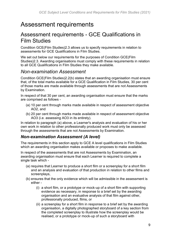# <span id="page-8-0"></span>Assessment requirements

## <span id="page-8-1"></span>Assessment requirements - GCE Qualifications in Film Studies

Condition GCE(Film Studies)2.3 allows us to specify requirements in relation to assessments for GCE Qualifications in Film Studies.

We set out below our requirements for the purposes of Condition GCE(Film Studies)2.3. Awarding organisations must comply with these requirements in relation to all GCE Qualifications in Film Studies they make available.

## *Non-examination Assessment*

Condition GCE(Film Studies)2.2(b) states that an awarding organisation must ensure that, of the total marks available for a GCE Qualification in Film Studies, 30 per cent of those marks are made available through assessments that are not Assessments by Examination.

In respect of that 30 per cent, an awarding organisation must ensure that the marks are comprised as follows -

- (a) 10 per cent through marks made available in respect of assessment objective AO2, and
- (b) 20 per cent through marks made available in respect of assessment objective AO3 (i.e. assessing AO3 in its entirety).

In relation to paragraph (a) above, a Learner's analysis and evaluation of his or her own work in relation to other professionally produced work must only be assessed through the assessments that are not Assessments by Examination.

#### *Non-examination Assessment (A level)*

The requirements in this section apply to GCE A level qualifications in Film Studies which an awarding organisation makes available or proposes to make available.

In respect of the assessments that are not Assessments by Examination, an awarding organisation must ensure that each Learner is required to complete a single task which -

- (a) requires that Learner to produce a short film or a screenplay for a short film and an analysis and evaluation of that production in relation to other films and screenplays,
- (b) ensures that the only evidence which will be admissible in the assessment is either -
	- (i) a short film, or a prototype or mock-up of a short film with supporting evidence as necessary, in response to a brief set by the awarding organisation and an evaluative analysis of that film against other, professionally produced, films, or
	- (ii) a screenplay for a short film in response to a brief set by the awarding organisation, a digitally photographed storyboard of a key section from the completed screenplay to illustrate how the screenplay would be realised, or a prototype or mock-up of such a storyboard with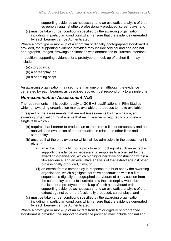supporting evidence as necessary, and an evaluative analysis of that screenplay against other, professionally produced, screenplays, and

(c) must be taken under conditions specified by the awarding organisation, including, in particular, conditions which ensure that the evidence generated by each Learner can be Authenticated.

Where a prototype or mock-up of a short film or digitally photographed storyboard is provided, the supporting evidence provided may include original and non-original photographs, images, drawings or sketches with annotations to illustrate intentions.

In addition, supporting evidence for a prototype or mock-up of a short film may include -

- (a) storyboards,
- (b) a screenplay, or
- (c) a shooting script.

An awarding organisation may set more than one brief, although the evidence generated by each Learner, as described above, must respond only to a single brief.

#### *Non-examination Assessment (AS)*

The requirements in this section apply to GCE AS qualifications in Film Studies which an awarding organisation makes available or proposes to make available.

In respect of the assessments that are not Assessments by Examination, an awarding organisation must ensure that each Learner is required to complete a single task which -

- (a) requires that Learner to produce an extract from a film or screenplay and an analysis and evaluation of that production in relation to other films and screenplays,
- (b) ensures that the only evidence which will be admissible in the assessment is either -
	- (i) an extract from a film, or a prototype or mock-up of such an extract with supporting evidence as necessary, in response to a brief set by the awarding organisation, which highlights narrative construction within a film sequence, and an evaluative analysis of that extract against other, professionally produced, films, or
	- (ii) an extract from a screenplay in response to a brief set by the awarding organisation, which highlights narrative construction within a film sequence, a digitally photographed storyboard of a key section from the screenplay extract to illustrate how the screenplay would be realised, or a prototype or mock-up of such a storyboard with supporting evidence as necessary, and an evaluative analysis of that extract against other, professionally produced, screenplays, and
- (c) must be taken under conditions specified by the awarding organisation, including, in particular, conditions which ensure that the evidence generated by each Learner can be Authenticated.

Where a prototype or mock-up of an extract from film or digitally photographed storyboard is provided, the supporting evidence provided may include original and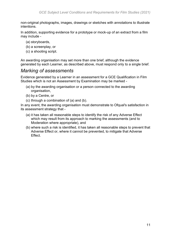non-original photographs, images, drawings or sketches with annotations to illustrate intentions.

In addition, supporting evidence for a prototype or mock-up of an extract from a film may include -

- (a) storyboards,
- (b) a screenplay, or
- (c) a shooting script.

An awarding organisation may set more than one brief, although the evidence generated by each Learner, as described above, must respond only to a single brief.

#### *Marking of assessments*

Evidence generated by a Learner in an assessment for a GCE Qualification in Film Studies which is not an Assessment by Examination may be marked -

- (a) by the awarding organisation or a person connected to the awarding organisation,
- (b) by a Centre, or
- (c) through a combination of (a) and (b).

In any event, the awarding organisation must demonstrate to Ofqual's satisfaction in its assessment strategy that -

- (a) it has taken all reasonable steps to identify the risk of any Adverse Effect which may result from its approach to marking the assessments (and to Moderation where appropriate), and
- (b) where such a risk is identified, it has taken all reasonable steps to prevent that Adverse Effect or, where it cannot be prevented, to mitigate that Adverse Effect.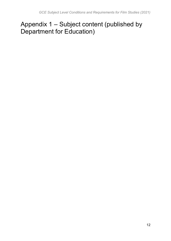# <span id="page-11-0"></span>Appendix 1 – Subject content (published by Department for Education)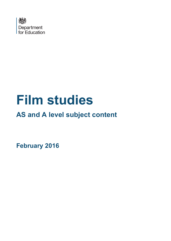

# **Film studies**

# **AS and A level subject content**

<span id="page-12-0"></span>**February 2016**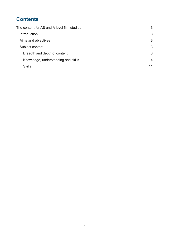# **Contents**

| The content for AS and A level film studies | 3  |
|---------------------------------------------|----|
| Introduction                                | 3  |
| Aims and objectives                         | 3  |
| Subject content                             | 3  |
| Breadth and depth of content                | 3  |
| Knowledge, understanding and skills         | 4  |
| <b>Skills</b>                               | 11 |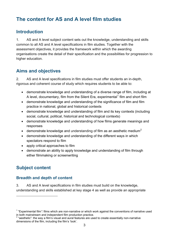# <span id="page-14-0"></span>**The content for AS and A level film studies**

## <span id="page-14-1"></span>**Introduction**

1. AS and A level subject content sets out the knowledge, understanding and skills common to all AS and A level specifications in film studies. Together with the assessment objectives, it provides the framework within which the awarding organisations create the detail of their specification and the possibilities for progression to higher education.

## <span id="page-14-2"></span>**Aims and objectives**

2. AS and A level specifications in film studies must offer students an in-depth, rigorous and coherent course of study which requires students to be able to:

- demonstrate knowledge and understanding of a diverse range of film, including at A level, documentary, film from the Silent Era, experimental<sup>[1](#page-12-0)</sup> film and short film
- demonstrate knowledge and understanding of the significance of film and film practice in national, global and historical contexts
- demonstrate knowledge and understanding of film and its key contexts (including social, cultural, political, historical and technological contexts)
- demonstrate knowledge and understanding of how films generate meanings and responses
- demonstrate knowledge and understanding of film as an aesthetic medium<sup>[2](#page-14-5)</sup>
- demonstrate knowledge and understanding of the different ways in which spectators respond to film
- apply critical approaches to film
- demonstrate an ability to apply knowledge and understanding of film through either filmmaking or screenwriting

## <span id="page-14-6"></span><span id="page-14-3"></span>**Subject content**

 $\overline{\phantom{a}}$ 

#### <span id="page-14-4"></span>**Breadth and depth of content**

3. AS and A level specifications in film studies must build on the knowledge, understanding and skills established at key stage 4 as well as provide an appropriate

<sup>&</sup>lt;sup>1</sup> "Experimental film": films which are non-narrative or which work against the conventions of narrative used in both mainstream and independent film production practice.

<span id="page-14-5"></span><sup>&</sup>quot;aesthetic": the way a film's visual and aural features are used to create essentially non-narrative dimensions of the film, including the film's 'look'.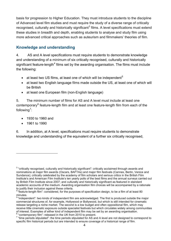basis for progression to Higher Education. They must introduce students to the discipline of Advanced level film studies and must require the study of a diverse range of critically recognised, culturally and historically significant<sup>[3](#page-14-6)</sup> films. A level specifications must extend these studies in breadth and depth, enabling students to analyse and study film using more advanced critical approaches such as auteurism and filmmakers' theories of film.

#### <span id="page-15-0"></span>**Knowledge and understanding**

4. AS and A level specifications must require students to demonstrate knowledge and understanding of a minimum of six critically recognised, culturally and historically significant feature-length<sup>[4](#page-15-1)</sup> films set by the awarding organisation. The films must include the following:

- at least two US films, at least one of which will be independent<sup>[5](#page-15-2)</sup>
- at least two English language films made outside the US, at least one of which will be British
- at least one European film (non-English language)

5. The minimum number of films for AS and A level must include at least one contemporary<sup>[6](#page-15-3)</sup> feature-length film and at least one feature-length film from each of the following<sup>[7](#page-15-4)</sup>:

- 1930 to 1960 and
- 1961 to 1990

l

6. In addition, at A level, specifications must require students to demonstrate knowledge and understanding of the equivalent of a further six critically recognised,

<sup>&</sup>lt;sup>3</sup> "critically recognised, culturally and historically significant": critically acclaimed through awards and nominations at major film awards (Oscars, BAFTAs) and major film festivals (Cannes, Berlin, Venice and Sundance); critically celebrated by the academy of film scholars and serious critics in the British Film Institute's and American Film Institute's ten yearly polls of the best films and the annual surveys carried out by British Film Institute since 2007; and culturally and historically significant as featured in standard academic accounts of the medium. Awarding organisation film choices will be accompanied by a rationale to justify their inclusion against these criteria.

<span id="page-15-1"></span> $4$  "feature-length film": considered, for the purposes of specification design, to be a film of at least 80 minutes.

<span id="page-15-5"></span><span id="page-15-2"></span><sup>&</sup>lt;sup>5</sup> "independent": two kinds of independent film are acknowledged. The first is produced outside the major commercial structures of, for example, Hollywood or Bollywood, but which is still intended for cinematic release targeting a niche market. The second is a low budget and often oppositional film, which may receive little cinematic exposure outside specialist festivals but which circulates widely among communities of interest. Examples of either kind of independent film may be set by an awarding organisation.

<span id="page-15-4"></span><span id="page-15-3"></span> $\frac{6}{7}$  "contemporary film": released in the UK from 2010 to present.<br> $\frac{7}{7}$  "time periods stipulated": the time periods stipulated for AS and A level are not designed to correspond to specific film historical periods but are intended to ensure coverage of a historical range of film.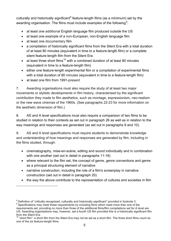culturally and historically significant<sup>[8](#page-15-5)</sup> feature-length films (as a minimum) set by the awarding organisation. The films must include examples of the following<sup>[9](#page-16-0)</sup>:

- at least one additional English language film produced outside the US
- at least one example of a non-European, non-English language film
- at least one documentary film
- a compilation of historically significant films from the Silent Era with a total duration of at least 80 minutes (equivalent in time to a feature-length film) or a complete silent feature-length film from the Silent Era
- at least three short films<sup>[10](#page-16-1)</sup> with a combined duration of at least 80 minutes (equivalent in time to a feature-length film)
- either one feature-length experimental film or a compilation of experimental films with a total duration of 80 minutes (equivalent in time to a feature-length film)
- at least one film from 1991-present

l

7. Awarding organisations must also require the study of at least two major movements or stylistic developments in film history, characterised by the significant contribution they made to film aesthetics, such as montage, expressionism, neo-realism or the new wave cinemas of the 1960s. (See paragraphs 22-23 for more information on the aesthetic dimension of film.)

8. AS and A level specifications must also require a comparison of two films to be studied in relation to their contexts as set out in paragraph 26 as well as in relation to the way meanings and responses are generated (as set out in paragraphs 9 and 10).

9. AS and A level specifications must require students to demonstrate knowledge and understanding of how meanings and responses are generated by film, including in the films studied, through:

- cinematography, mise-en-scène, editing and sound individually and in combination with one another (set out in detail in paragraphs 11-18)
- where relevant to the film set, the concept of genre, genre conventions and genre as a principal structuring element of narrative
- narrative construction, including the role of a film's screenplay in narrative construction (set out in detail in paragraph 20)
- the way the above contribute to the representation of cultures and societies in film

<sup>&</sup>lt;sup>8</sup> Definition of "critically recognised, culturally and historically significant" provided in footnote 3.

<span id="page-16-2"></span><span id="page-16-0"></span><sup>&</sup>lt;sup>9</sup> Specifications may meet these requirements by including films which meet more than one of the requirements set, providing no more than three of the additional films/film compilations set for A level are US. Awarding organisations may, however, set a fourth US film provided this is a historically significant film

<span id="page-16-1"></span> $10$  "short film": a short film from the Silent Era may not be set as a short film. The three short films count as one of the six feature-length films.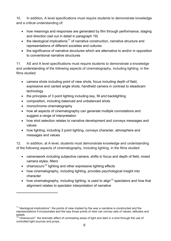10. In addition, A level specifications must require students to demonstrate knowledge and a critical understanding of:

- how meanings and responses are generated by film through performance, staging and direction (set out in detail in paragraph 19)
- the ideological implications<sup>[11](#page-16-2)</sup> of narrative construction, narrative structure and representations of different societies and cultures
- the significance of narrative structures which are alternative to and/or in opposition to conventional narrative structures

11. AS and A level specifications must require students to demonstrate a knowledge and understanding of the following aspects of cinematography, including lighting, in the films studied:

- camera shots including point of view shots, focus including depth of field, expressive and canted angle shots, handheld camera in contrast to steadicam technology
- the principles of 3 point lighting including key, fill and backlighting
- composition, including balanced and unbalanced shots
- monochrome cinematography

 $\overline{\phantom{a}}$ 

- how all aspects of cinematography can generate multiple connotations and suggest a range of interpretation
- how shot selection relates to narrative development and conveys messages and values
- how lighting, including 3 point lighting, conveys character, atmosphere and messages and values

12. In addition, at A level, students must demonstrate knowledge and understanding of the following aspects of cinematography, including lighting, in the films studied:

- camerawork including subjective camera, shifts in focus and depth of field, mixed camera styles, filters
- chiaroscuro<sup>[12](#page-17-0)</sup> lighting and other expressive lighting effects
- how cinematography, including lighting, provides psychological insight into character
- how cinematography, including lighting, is used to align<sup>[13](#page-17-1)</sup> spectators and how that alignment relates to spectator interpretation of narrative

<span id="page-17-1"></span> $11$  "ideological implications": the points of view implied by the way a narrative is constructed and the representations it incorporates and the way those points of view can convey sets of values, attitudes and beliefs.

<span id="page-17-2"></span><span id="page-17-0"></span><sup>12</sup> "chiaroscuro": the dramatic effect of contrasting areas of light and dark in a shot through the use of controlled light sources and props.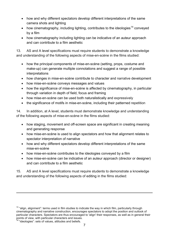- how and why different spectators develop different interpretations of the same camera shots and lighting
- how cinematography, including lighting, contributes to the ideologies<sup>[14](#page-17-2)</sup> conveved by a film
- how cinematography including lighting can be indicative of an auteur approach and can contribute to a film aesthetic

13. AS and A level specifications must require students to demonstrate a knowledge and understanding of the following aspects of mise-en-scène in the films studied:

- how the principal components of mise-en-scène (setting, props, costume and make-up) can generate multiple connotations and suggest a range of possible interpretations
- how changes in mise-en-scène contribute to character and narrative development
- how mise-en-scène conveys messages and values
- how the significance of mise-en-scène is affected by cinematography, in particular through variation in depth of field, focus and framing
- how mise-en-scène can be used both naturalistically and expressively
- the significance of motifs in mise-en-scène, including their patterned repetition

14. In addition, at A level, students must demonstrate knowledge and understanding of the following aspects of mise-en-scène in the films studied:

- how staging, movement and off-screen space are significant in creating meaning and generating response
- how mise-en-scène is used to align spectators and how that alignment relates to spectator interpretation of narrative
- how and why different spectators develop different interpretations of the same mise-en-scène
- how mise-en-scène contributes to the ideologies conveyed by a film
- how mise-en-scène can be indicative of an auteur approach (director or designer) and can contribute to a film aesthetic

15. AS and A level specifications must require students to demonstrate a knowledge and understanding of the following aspects of editing in the films studied:

 $\overline{\phantom{a}}$ 

 $13$  "align, alignment": terms used in film studies to indicate the way in which film, particularly through cinematography and narrative construction, encourages spectators to adopt the position and outlook of particular characters. Spectators are thus encouraged to 'align' their responses, as well as in general their points of view, with particular characters and issues.

<span id="page-18-0"></span><sup>&</sup>lt;sup>14</sup> "ideologies": sets of values, attitudes and beliefs.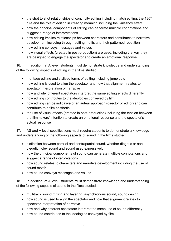- the shot to shot relationships of continuity editing including match editing, the 180<sup>°</sup> rule and the role of editing in creating meaning including the Kuleshov effect
- how the principal components of editing can generate multiple connotations and suggest a range of interpretations
- how editing implies relationships between characters and contributes to narrative development including through editing motifs and their patterned repetition
- how editing conveys messages and values
- how visual effects (created in post-production) are used, including the way they are designed to engage the spectator and create an emotional response

16. In addition, at A level, students must demonstrate knowledge and understanding of the following aspects of editing in the films studied:

- montage editing and stylised forms of editing including jump cuts
- how editing is used to align the spectator and how that alignment relates to spectator interpretation of narrative
- how and why different spectators interpret the same editing effects differently
- how editing contributes to the ideologies conveyed by film
- how editing can be indicative of an auteur approach (director or editor) and can contribute to a film aesthetic
- the use of visual effects (created in post-production) including the tension between the filmmakers' intention to create an emotional response and the spectator's actual response

17. AS and A level specifications must require students to demonstrate a knowledge and understanding of the following aspects of sound in the films studied:

- distinction between parallel and contrapuntal sound, whether diegetic or nondiegetic, foley sound and sound used expressively
- how the principal components of sound can generate multiple connotations and suggest a range of interpretations
- how sound relates to characters and narrative development including the use of sound motifs
- how sound conveys messages and values

18. In addition, at A level, students must demonstrate knowledge and understanding of the following aspects of sound in the films studied:

- multitrack sound mixing and layering, asynchronous sound, sound design
- how sound is used to align the spectator and how that alignment relates to spectator interpretation of narrative
- how and why different spectators interpret the same use of sound differently
- how sound contributes to the ideologies conveyed by film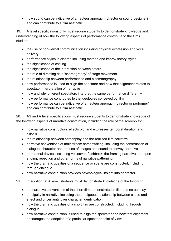• how sound can be indicative of an auteur approach (director or sound designer) and can contribute to a film aesthetic

19. A level specifications only must require students to demonstrate knowledge and understanding of how the following aspects of performance contribute to the films studied:

- the use of non-verbal communication including physical expression and vocal delivery
- performance styles in cinema including method and improvisatory styles
- the significance of casting
- the significance of the interaction between actors
- the role of directing as a 'choreography' of stage movement
- the relationship between performance and cinematography
- how performance is used to align the spectator and how that alignment relates to spectator interpretation of narrative
- how and why different spectators interpret the same performance differently
- how performance contributes to the ideologies conveyed by film
- how performance can be indicative of an auteur approach (director or performer) and can contribute to a film aesthetic

20. AS and A level specifications must require students to demonstrate knowledge of the following aspects of narrative construction, including the role of the screenplay:

- how narrative construction reflects plot and expresses temporal duration and ellipsis
- the relationship between screenplay and the realised film narrative
- narrative conventions of mainstream screenwriting, including the construction of dialogue, character and the use of images and sound to convey narrative
- narrational devices including voiceover, flashback, the framing narrative, the open ending, repetition and other forms of narrative patterning
- how the dramatic qualities of a sequence or scene are constructed, including through dialogue
- how narrative construction provides psychological insight into character
- 21. In addition, at A level, students must demonstrate knowledge of the following:
	- the narrative conventions of the short film demonstrated in film and screenplay
	- ambiguity in narrative including the ambiguous relationship between cause and effect and uncertainty over character identification
	- how the dramatic qualities of a short film are constructed, including through dialogue
	- how narrative construction is used to align the spectator and how that alignment encourages the adoption of a particular spectator point of view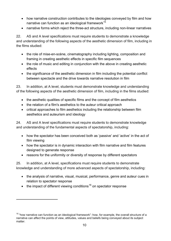- how narrative construction contributes to the ideologies conveyed by film and how narrative can function as an ideological framework $15$
- narrative forms which reject the three-act structure, including non-linear narratives

22. AS and A level specifications must require students to demonstrate a knowledge and understanding of the following aspects of the aesthetic dimension of film, including in the films studied:

- the role of mise-en-scène, cinematography including lighting, composition and framing in creating aesthetic effects in specific film sequences
- the role of music and editing in conjunction with the above in creating aesthetic effects
- the significance of the aesthetic dimension in film including the potential conflict between spectacle and the drive towards narrative resolution in film

23. In addition, at A level, students must demonstrate knowledge and understanding of the following aspects of the aesthetic dimension of film, including in the films studied:

- the aesthetic qualities of specific films and the concept of film aesthetics
- the relation of a film's aesthetics to the auteur critical approach
- critical approaches to film aesthetics including the relationship between film aesthetics and auteurism and ideology

24. AS and A level specifications must require students to demonstrate knowledge and understanding of the fundamental aspects of spectatorship, including:

- how the spectator has been conceived both as 'passive' and 'active' in the act of film viewing
- how the spectator is in dynamic interaction with film narrative and film features designed to generate response
- reasons for the uniformity or diversity of response by different spectators

25. In addition, at A level, specifications must require students to demonstrate knowledge and understanding of more advanced aspects of spectatorship, including:

- the analysis of narrative, visual, musical, performance, genre and auteur cues in relation to spectator response
- the impact of different viewing conditions<sup>[16](#page-21-0)</sup> on spectator response

<span id="page-21-1"></span> $\overline{\phantom{a}}$ 

<span id="page-21-0"></span> $15$  "how narrative can function as an ideological framework": how, for example, the overall structure of a narrative can affect the points of view, attitudes, values and beliefs being conveyed about its subject matter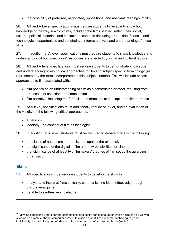• the possibility of preferred, negotiated, oppositional and aberrant 'readings' of film

26. AS and A Level specifications must require students to be able to show how knowledge of the way in which films, including the films studied, reflect their social, cultural, political, historical and institutional contexts (including production, financial and technological opportunities and constraints) informs analysis and understanding of these films.

27. In addition, at A level, specifications must require students to show knowledge and understanding of how spectators' responses are affected by social and cultural factors.

28. AS and A level specifications must require students to demonstrate knowledge and understanding of key critical approaches to film and subject-specific terminology (as represented by the terms incorporated in this subject content). This will include critical approaches to film associated with:

- film poetics as an understanding of film as a constructed artefact, resulting from processes of selection and combination
- film narrative, including the formalist and structuralist conception of film narrative

29. At A level, specifications must additionally require study of, and an evaluation of the validity of, the following critical approaches:

- auteurism
- ideology (the concept of film as ideological)

30. In addition, at A level, students must be required to debate critically the following:

- the claims of naturalism and realism as against the expressive
- the significance of the digital in film and new possibilities for cinema
- the significance of at least two filmmakers' theories of film set by the awarding organisation

#### <span id="page-22-0"></span>**Skills**

 $\overline{\phantom{a}}$ 

- 31. AS specifications must require students to develop the skills to:
	- analyse and interpret films critically, communicating ideas effectively through discursive argument
	- be able to synthesise knowledge

<sup>&</sup>lt;sup>16</sup> "viewing conditions": the different technological and social conditions under which a film can be viewed such as on a mobile phone, computer screen, television or in 3D at a cinema (technological) and individually, as part of a group of friends or family, or as part of a mass audience (social).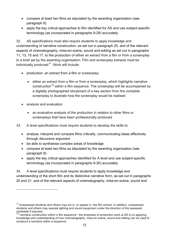- compare at least two films as stipulated by the awarding organisation (see paragraph 8)
- apply the key critical approaches to film identified for AS and use subject-specific terminology (as incorporated in paragraphs 9-29) accurately

32. AS specifications must also require students to apply knowledge and understanding of narrative construction, as set out in paragraph 20, and of the relevant aspects of cinematography, mise-en-scène, sound and editing as set out in paragraphs 11, 13, 15 and 17, to the production of either an extract from a film or from a screenplay to a brief set by the awarding organisation. Film and screenplay extracts must be individually produced $17$ . Work will include:

- production: an extract from a film or screenplay:
	- either an extract from a film or from a screenplay, which highlights narrative construction<sup>[18](#page-23-0)</sup> within a film sequence. The screenplay will be accompanied by a digitally photographed storyboard of a key section from the complete screenplay to illustrate how the screenplay would be realised
- analysis and evaluation

 $\overline{\phantom{a}}$ 

- an evaluative analysis of the production in relation to other films or screenplays that have been professionally produced
- 33. A level specifications must require students to develop the skills to:
	- analyse, interpret and compare films critically, communicating ideas effectively through discursive argument
	- be able to synthesise complex areas of knowledge
	- compare at least two films as stipulated by the awarding organisation (see paragraph 8)
	- apply the key critical approaches identified for A level and use subject-specific terminology (as incorporated in paragraphs 9-30) accurately

34. A level specifications must require students to apply knowledge and understanding of the short film and its distinctive narrative form, as set out in paragraphs 20 and 21, and of the relevant aspects of cinematography, mise-en-scène, sound and

<span id="page-23-1"></span> $17$  Unassessed students and others may act in, or appear in, the film extract. In addition, unassessed students and others may operate lighting and sound equipment under the direction of the assessed candidate if required.

<span id="page-23-0"></span> $18$  "narrative construction within a film sequence": the emphasis of production work at AS is on applying knowledge and understanding of how cinematography, mise-en-scène, sound and editing can be used to construct a narrative within a sequence.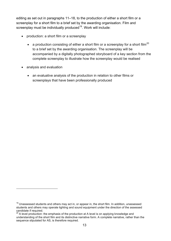editing as set out in paragraphs 11–18, to the production of either a short film or a screenplay for a short film to a brief set by the awarding organisation. Film and screenplay must be individually produced $19$ . Work will include:

- production: a short film or a screenplay
	- a production consisting of either a short film or a screenplay for a short film<sup>[20](#page-24-0)</sup> to a brief set by the awarding organisation. The screenplay will be accompanied by a digitally photographed storyboard of a key section from the complete screenplay to illustrate how the screenplay would be realised
- analysis and evaluation

 $\overline{\phantom{a}}$ 

• an evaluative analysis of the production in relation to other films or screenplays that have been professionally produced

 $19$  Unassessed students and others may act in, or appear in, the short film. In addition, unassessed students and others may operate lighting and sound equipment under the direction of the assessed candidate if required.

<span id="page-24-0"></span><sup>&</sup>lt;sup>20</sup> A level production: the emphasis of the production at A level is on applying knowledge and understanding of the short film and its distinctive narrative form. A complete narrative, rather than the sequence stipulated for AS, is therefore required.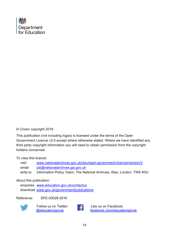

#### © Crown copyright 2016

This publication (not including logos) is licensed under the terms of the Open Government Licence v3.0 except where otherwise stated. Where we have identified any third party copyright information you will need to obtain permission from the copyright holders concerned.

To view this licence:

| visit    | www.nationalarchives.gov.uk/doc/open-government-licence/version/3    |
|----------|----------------------------------------------------------------------|
| email    | psi@nationalarchives.gsi.gov.uk                                      |
| write to | Information Policy Team, The National Archives, Kew, London, TW9 4DU |

#### About this publication:

enquiries [www.education.gov.uk/contactus](http://www.education.gov.uk/contactus)  download [www.gov.uk/government/publications](http://www.gov.uk/government/publications) 

Reference: DFE-00028-2016



 Follow us on Twitter: [@educationgovuk](http://twitter.com/educationgovuk)



Like us on Facebook: [facebook.com/educationgovuk](http://www.facebook.com/educationgovuk)